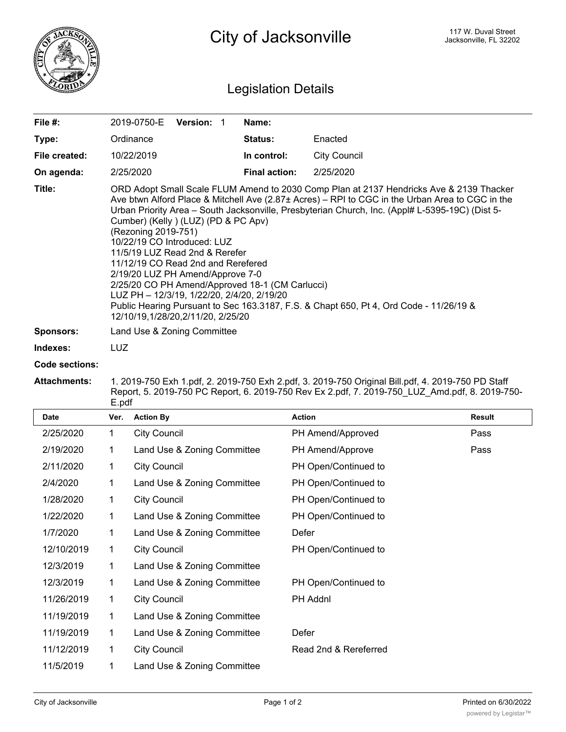

## Legislation Details

| File $#$ :    | <b>Version: 1</b><br>2019-0750-E                                                                                                                                                                                                                                                                                                                                                                                                                                                                                                                                                                                                                                                                                                       | Name:                |              |  |
|---------------|----------------------------------------------------------------------------------------------------------------------------------------------------------------------------------------------------------------------------------------------------------------------------------------------------------------------------------------------------------------------------------------------------------------------------------------------------------------------------------------------------------------------------------------------------------------------------------------------------------------------------------------------------------------------------------------------------------------------------------------|----------------------|--------------|--|
| Type:         | Ordinance                                                                                                                                                                                                                                                                                                                                                                                                                                                                                                                                                                                                                                                                                                                              | <b>Status:</b>       | Enacted      |  |
| File created: | 10/22/2019                                                                                                                                                                                                                                                                                                                                                                                                                                                                                                                                                                                                                                                                                                                             | In control:          | City Council |  |
| On agenda:    | 2/25/2020                                                                                                                                                                                                                                                                                                                                                                                                                                                                                                                                                                                                                                                                                                                              | <b>Final action:</b> | 2/25/2020    |  |
| Title:        | ORD Adopt Small Scale FLUM Amend to 2030 Comp Plan at 2137 Hendricks Ave & 2139 Thacker<br>Ave btwn Alford Place & Mitchell Ave (2.87± Acres) – RPI to CGC in the Urban Area to CGC in the<br>Urban Priority Area – South Jacksonville, Presbyterian Church, Inc. (Appl# L-5395-19C) (Dist 5-<br>Cumber) (Kelly) (LUZ) (PD & PC Apv)<br>(Rezoning 2019-751)<br>10/22/19 CO Introduced: LUZ<br>11/5/19 LUZ Read 2nd & Rerefer<br>11/12/19 CO Read 2nd and Rerefered<br>2/19/20 LUZ PH Amend/Approve 7-0<br>2/25/20 CO PH Amend/Approved 18-1 (CM Carlucci)<br>LUZ PH - 12/3/19, 1/22/20, 2/4/20, 2/19/20<br>Public Hearing Pursuant to Sec 163.3187, F.S. & Chapt 650, Pt 4, Ord Code - 11/26/19 &<br>12/10/19,1/28/20,2/11/20, 2/25/20 |                      |              |  |
| Sponsors:     | Land Use & Zoning Committee                                                                                                                                                                                                                                                                                                                                                                                                                                                                                                                                                                                                                                                                                                            |                      |              |  |

**Indexes:** LUZ

## **Code sections:**

## **Attachments:** 1. 2019-750 Exh 1.pdf, 2. 2019-750 Exh 2.pdf, 3. 2019-750 Original Bill.pdf, 4. 2019-750 PD Staff Report, 5. 2019-750 PC Report, 6. 2019-750 Rev Ex 2.pdf, 7. 2019-750\_LUZ\_Amd.pdf, 8. 2019-750- E.pdf

| <b>Date</b> | Ver. | <b>Action By</b>            | <b>Action</b>         | Result |
|-------------|------|-----------------------------|-----------------------|--------|
| 2/25/2020   | 1    | City Council                | PH Amend/Approved     | Pass   |
| 2/19/2020   | 1    | Land Use & Zoning Committee | PH Amend/Approve      | Pass   |
| 2/11/2020   | 1    | <b>City Council</b>         | PH Open/Continued to  |        |
| 2/4/2020    | 1    | Land Use & Zoning Committee | PH Open/Continued to  |        |
| 1/28/2020   | 1    | <b>City Council</b>         | PH Open/Continued to  |        |
| 1/22/2020   | 1    | Land Use & Zoning Committee | PH Open/Continued to  |        |
| 1/7/2020    | 1    | Land Use & Zoning Committee | Defer                 |        |
| 12/10/2019  | 1    | <b>City Council</b>         | PH Open/Continued to  |        |
| 12/3/2019   | 1    | Land Use & Zoning Committee |                       |        |
| 12/3/2019   | 1    | Land Use & Zoning Committee | PH Open/Continued to  |        |
| 11/26/2019  | 1    | <b>City Council</b>         | PH Addnl              |        |
| 11/19/2019  | 1    | Land Use & Zoning Committee |                       |        |
| 11/19/2019  | 1    | Land Use & Zoning Committee | Defer                 |        |
| 11/12/2019  | 1    | <b>City Council</b>         | Read 2nd & Rereferred |        |
| 11/5/2019   |      | Land Use & Zoning Committee |                       |        |